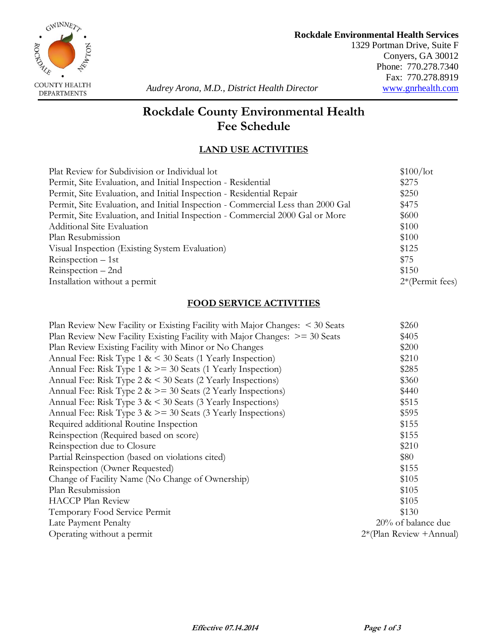

1329 Portman Drive, Suite F Conyers, GA 30012 Phone: 770.278.7340 Fax: 770.278.8919<br>www.gnrhealth.com

# **Rockdale County Environmental Health Fee Schedule**

## **LAND USE ACTIVITIES**

| Plat Review for Subdivision or Individual lot                                   | \$100/lot         |
|---------------------------------------------------------------------------------|-------------------|
| Permit, Site Evaluation, and Initial Inspection - Residential                   | \$275             |
| Permit, Site Evaluation, and Initial Inspection - Residential Repair            | \$250             |
| Permit, Site Evaluation, and Initial Inspection - Commercial Less than 2000 Gal | \$475             |
| Permit, Site Evaluation, and Initial Inspection - Commercial 2000 Gal or More   | \$600             |
| Additional Site Evaluation                                                      | \$100             |
| Plan Resubmission                                                               | \$100             |
| Visual Inspection (Existing System Evaluation)                                  | \$125             |
| $Re inspection - 1st$                                                           | \$75              |
| Reinspection – 2nd                                                              | \$150             |
| Installation without a permit                                                   | $2*(Permit fees)$ |
|                                                                                 |                   |

#### **FOOD SERVICE ACTIVITIES**

| Plan Review New Facility or Existing Facility with Major Changes: < 30 Seats    | \$260                    |
|---------------------------------------------------------------------------------|--------------------------|
| Plan Review New Facility Existing Facility with Major Changes: $\ge$ = 30 Seats | \$405                    |
| Plan Review Existing Facility with Minor or No Changes                          | \$200                    |
| Annual Fee: Risk Type $1 \< 30$ Seats (1 Yearly Inspection)                     | \$210                    |
| Annual Fee: Risk Type $1 \> = 30$ Seats (1 Yearly Inspection)                   | \$285                    |
| Annual Fee: Risk Type $2 \< 30$ Seats (2 Yearly Inspections)                    | \$360                    |
| Annual Fee: Risk Type $2 \> = 30$ Seats (2 Yearly Inspections)                  | \$440                    |
| Annual Fee: Risk Type $3 \< 30$ Seats (3 Yearly Inspections)                    | \$515                    |
| Annual Fee: Risk Type $3 \> = 30$ Seats (3 Yearly Inspections)                  | \$595                    |
| Required additional Routine Inspection                                          | \$155                    |
| Reinspection (Required based on score)                                          | \$155                    |
| Reinspection due to Closure                                                     | \$210                    |
| Partial Reinspection (based on violations cited)                                | \$80                     |
| Reinspection (Owner Requested)                                                  | \$155                    |
| Change of Facility Name (No Change of Ownership)                                | \$105                    |
| Plan Resubmission                                                               | \$105                    |
| <b>HACCP</b> Plan Review                                                        | \$105                    |
| Temporary Food Service Permit                                                   | \$130                    |
| Late Payment Penalty                                                            | 20% of balance due       |
| Operating without a permit                                                      | 2*(Plan Review + Annual) |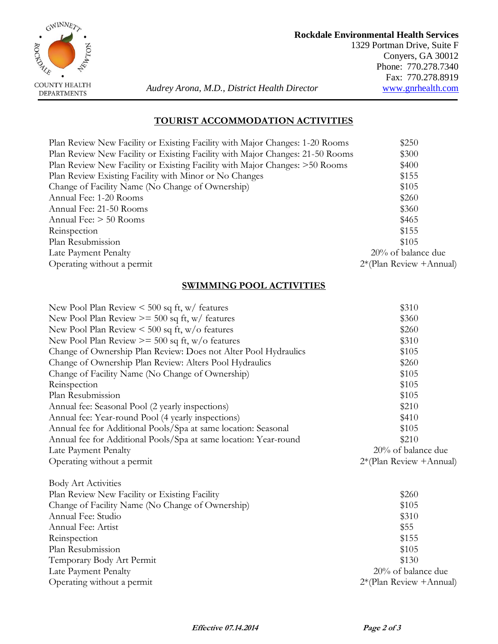

### **Rockdale Environmental Health Services**

1329 Portman Drive, Suite F Conyers, GA 30012 Phone: 770.278.7340 Fax: 770.278.8919<br>www.gnrhealth.com

 **Audrey Arona, M.D., District Health Director DEPARTMENTS** 

#### **TOURIST ACCOMMODATION ACTIVITIES**

| Plan Review New Facility or Existing Facility with Major Changes: 1-20 Rooms  | \$250                      |
|-------------------------------------------------------------------------------|----------------------------|
| Plan Review New Facility or Existing Facility with Major Changes: 21-50 Rooms | \$300                      |
| Plan Review New Facility or Existing Facility with Major Changes: >50 Rooms   | \$400                      |
| Plan Review Existing Facility with Minor or No Changes                        | \$155                      |
| Change of Facility Name (No Change of Ownership)                              | \$105                      |
| Annual Fee: 1-20 Rooms                                                        | \$260                      |
| Annual Fee: 21-50 Rooms                                                       | \$360                      |
| Annual Fee: $>$ 50 Rooms                                                      | \$465                      |
| Reinspection                                                                  | \$155                      |
| Plan Resubmission                                                             | \$105                      |
| Late Payment Penalty                                                          | 20% of balance due         |
| Operating without a permit                                                    | $2*(Plan Review + Annual)$ |
|                                                                               |                            |

### **SWIMMING POOL ACTIVITIES**

| New Pool Plan Review $\leq 500$ sq ft, w/ features               | \$310                      |
|------------------------------------------------------------------|----------------------------|
| New Pool Plan Review $\ge$ = 500 sq ft, w/ features              | \$360                      |
| New Pool Plan Review $\leq 500$ sq ft, w/o features              | \$260                      |
| New Pool Plan Review $\ge$ = 500 sq ft, w/o features             | \$310                      |
| Change of Ownership Plan Review: Does not Alter Pool Hydraulics  | \$105                      |
| Change of Ownership Plan Review: Alters Pool Hydraulics          | \$260                      |
| Change of Facility Name (No Change of Ownership)                 | \$105                      |
| Reinspection                                                     | \$105                      |
| Plan Resubmission                                                | \$105                      |
| Annual fee: Seasonal Pool (2 yearly inspections)                 | \$210                      |
| Annual fee: Year-round Pool (4 yearly inspections)               | \$410                      |
| Annual fee for Additional Pools/Spa at same location: Seasonal   | \$105                      |
| Annual fee for Additional Pools/Spa at same location: Year-round | \$210                      |
| Late Payment Penalty                                             | 20% of balance due         |
| Operating without a permit                                       | $2*(Plan Review + Annual)$ |
| <b>Body Art Activities</b>                                       |                            |
| Plan Review New Facility or Existing Facility                    | \$260                      |
| Change of Facility Name (No Change of Ownership)                 | \$105                      |
| Annual Fee: Studio                                               | \$310                      |
| Annual Fee: Artist                                               | \$55                       |
| Reinspection                                                     | \$155                      |
| Plan Resubmission                                                | \$105                      |
| Temporary Body Art Permit                                        | \$130                      |
| Late Payment Penalty                                             | 20% of balance due         |
| Operating without a permit                                       | $2*(Plan Review + Annual)$ |